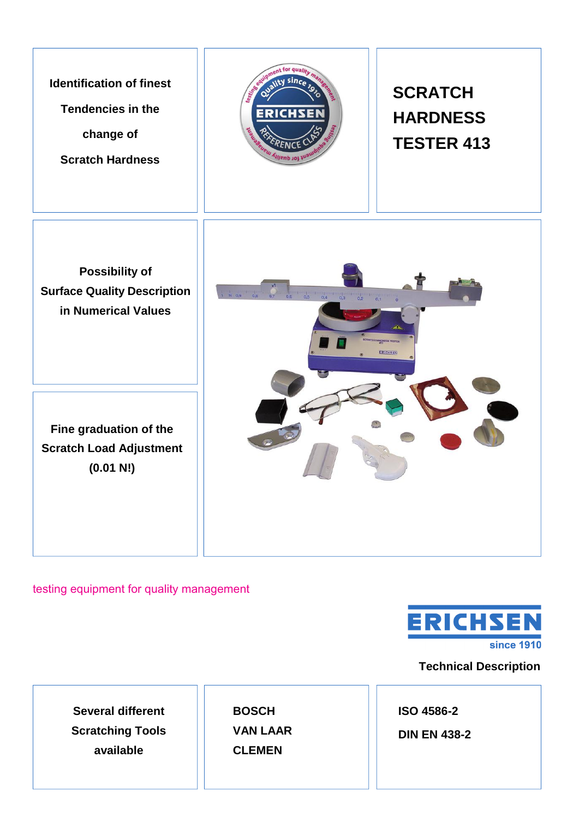**Identification of finest Tendencies in the change of Scratch Hardness**



## **SCRATCH HARDNESS TESTER 413**

**Possibility of Surface Quality Description in Numerical Values**

**Fine graduation of the Scratch Load Adjustment (0.01 N!)**



testing equipment for quality management



**Technical Description** 

**Several different Scratching Tools available**

**BOSCH VAN LAAR CLEMEN**

**ISO 4586-2**

**DIN EN 438-2**